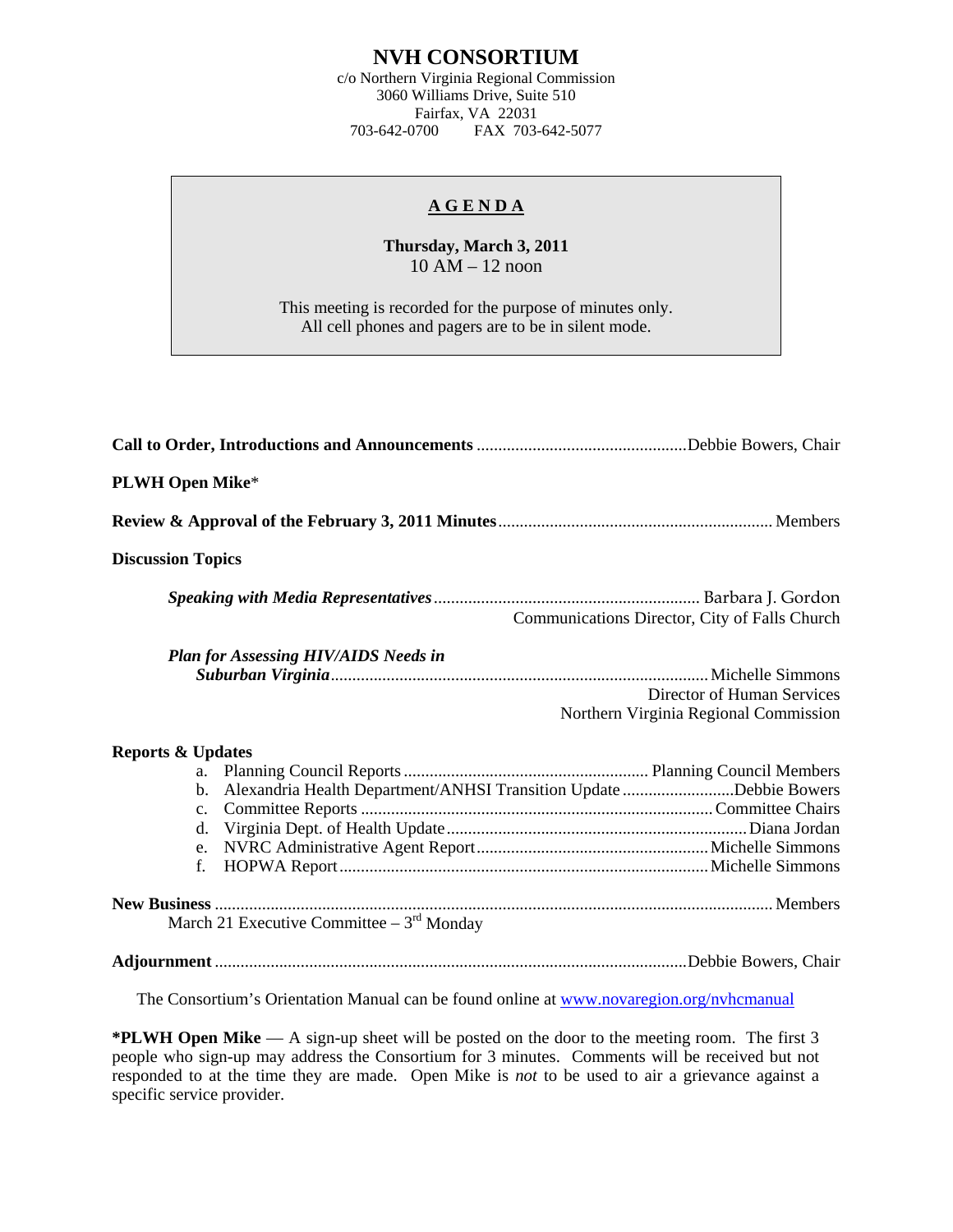## **NVH CONSORTIUM**

c/o Northern Virginia Regional Commission 3060 Williams Drive, Suite 510 Fairfax, VA 22031 703-642-0700 FAX 703-642-5077

## **A G E N D A**

**Thursday, March 3, 2011**  10 AM – 12 noon

This meeting is recorded for the purpose of minutes only. All cell phones and pagers are to be in silent mode.

| <b>PLWH Open Mike*</b>                                                                                             |
|--------------------------------------------------------------------------------------------------------------------|
|                                                                                                                    |
| <b>Discussion Topics</b>                                                                                           |
| Communications Director, City of Falls Church                                                                      |
| <b>Plan for Assessing HIV/AIDS Needs in</b><br>Director of Human Services<br>Northern Virginia Regional Commission |
| <b>Reports &amp; Updates</b>                                                                                       |
| b. Alexandria Health Department/ANHSI Transition Update Debbie Bowers<br>$c_{\cdot}$<br>$f_{\cdot}$                |
| March 21 Executive Committee $-3rd$ Monday                                                                         |
|                                                                                                                    |

The Consortium's Orientation Manual can be found online at [www.novaregion.org/nvhcmanual](http://www.novaregion.org/nvhcmanual)

**\*PLWH Open Mike** — A sign-up sheet will be posted on the door to the meeting room. The first 3 people who sign-up may address the Consortium for 3 minutes. Comments will be received but not responded to at the time they are made. Open Mike is *not* to be used to air a grievance against a specific service provider.